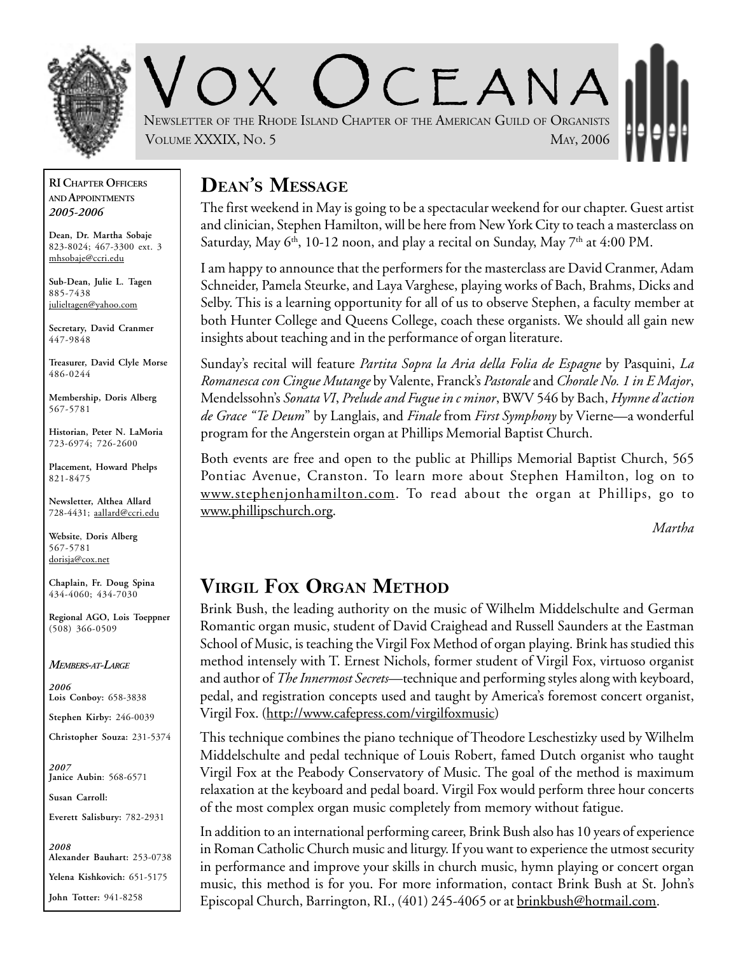

 $C$   $F$   $A$  N  $A$ NEWSLETTER OF THE RHODE ISLAND CHAPTER OF THE AMERICAN GUILD OF ORGANISTS VOLUME XXXIX, No. 5 MAY, 2006

**RI CHAPTER OFFICERS AND APPOINTMENTS** *2005-2006*

**Dean, Dr. Martha Sobaje** 823-8024; 467-3300 ext. 3 mhsobaje@ccri.edu

**Sub-Dean, Julie L. Tagen** 885-7438 julieltagen@yahoo.com

**Secretary, David Cranmer** 447-9848

**Treasurer, David Clyle Morse** 486-0244

**Membership, Doris Alberg** 567-5781

**Historian, Peter N. LaMoria** 723-6974; 726-2600

**Placement, Howard Phelps** 821-8475

**Newsletter, Althea Allard** 728-4431; aallard@ccri.edu

**Website**, **Doris Alberg** 567-5781 dorisja@cox.net

**Chaplain, Fr. Doug Spina** 434-4060; 434-7030

**Regional AGO, Lois Toeppner** (508) 366-0509

*MEMBERS-AT-LARGE*

*2006* **Lois Conboy:** 658-3838

**Stephen Kirby:** 246-0039

**Christopher Souza:** 231-5374

*2007* **Janice Aubin**: 568-6571

**Susan Carroll:**

**Everett Salisbury:** 782-2931

*2008* **Alexander Bauhart:** 253-0738 **Yelena Kishkovich:** 651-5175 **John Totter:** 941-8258

# **DEAN'S MESSAGE**

The first weekend in May is going to be a spectacular weekend for our chapter. Guest artist and clinician, Stephen Hamilton, will be here from New York City to teach a masterclass on Saturday, May 6<sup>th</sup>, 10-12 noon, and play a recital on Sunday, May 7<sup>th</sup> at 4:00 PM.

I am happy to announce that the performers for the masterclass are David Cranmer, Adam Schneider, Pamela Steurke, and Laya Varghese, playing works of Bach, Brahms, Dicks and Selby. This is a learning opportunity for all of us to observe Stephen, a faculty member at both Hunter College and Queens College, coach these organists. We should all gain new insights about teaching and in the performance of organ literature.

Sunday's recital will feature *Partita Sopra la Aria della Folia de Espagne* by Pasquini, *La Romanesca con Cingue Mutange* by Valente, Franck's *Pastorale* and *Chorale No. 1 in E Major*, Mendelssohn's *Sonata VI*, *Prelude and Fugue in c minor*, BWV 546 by Bach, *Hymne d'action de Grace "Te Deum*" by Langlais, and *Finale* from *First Symphony* by Vierne—a wonderful program for the Angerstein organ at Phillips Memorial Baptist Church.

Both events are free and open to the public at Phillips Memorial Baptist Church, 565 Pontiac Avenue, Cranston. To learn more about Stephen Hamilton, log on to www.stephenjonhamilton.com. To read about the organ at Phillips, go to www.phillipschurch.org.

*Martha*

# **VIRGIL FOX ORGAN METHOD**

Brink Bush, the leading authority on the music of Wilhelm Middelschulte and German Romantic organ music, student of David Craighead and Russell Saunders at the Eastman School of Music, is teaching the Virgil Fox Method of organ playing. Brink has studied this method intensely with T. Ernest Nichols, former student of Virgil Fox, virtuoso organist and author of *The Innermost Secrets*—technique and performing styles along with keyboard, pedal, and registration concepts used and taught by America's foremost concert organist, Virgil Fox. (http://www.cafepress.com/virgilfoxmusic)

This technique combines the piano technique of Theodore Leschestizky used by Wilhelm Middelschulte and pedal technique of Louis Robert, famed Dutch organist who taught Virgil Fox at the Peabody Conservatory of Music. The goal of the method is maximum relaxation at the keyboard and pedal board. Virgil Fox would perform three hour concerts of the most complex organ music completely from memory without fatigue.

In addition to an international performing career, Brink Bush also has 10 years of experience in Roman Catholic Church music and liturgy. If you want to experience the utmost security in performance and improve your skills in church music, hymn playing or concert organ music, this method is for you. For more information, contact Brink Bush at St. John's Episcopal Church, Barrington, RI., (401) 245-4065 or at brinkbush@hotmail.com.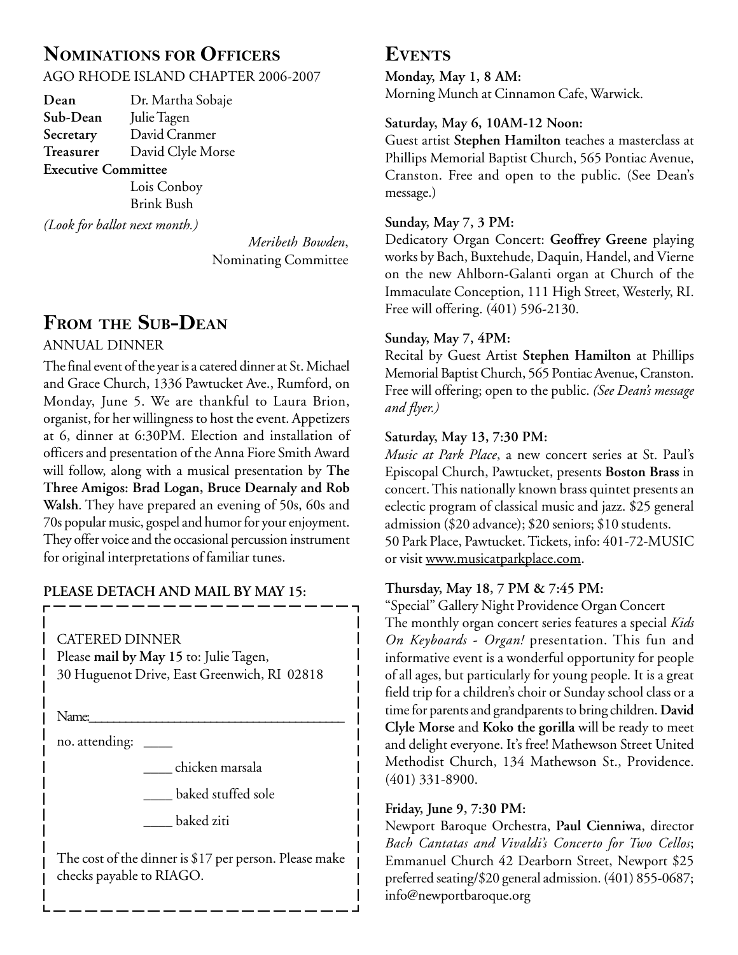# **NOMINATIONS FOR OFFICERS**

AGO RHODE ISLAND CHAPTER 2006-2007

**Dean** Dr. Martha Sobaje **Sub-Dean** Julie Tagen **Secretary** David Cranmer **Treasurer** David Clyle Morse **Executive Committee**

Lois Conboy Brink Bush

*(Look for ballot next month.)*

*Meribeth Bowden*, Nominating Committee

# **FROM THE SUB-DEAN**

#### ANNUAL DINNER

The final event of the year is a catered dinner at St. Michael and Grace Church, 1336 Pawtucket Ave., Rumford, on Monday, June 5. We are thankful to Laura Brion, organist, for her willingness to host the event. Appetizers at 6, dinner at 6:30PM. Election and installation of officers and presentation of the Anna Fiore Smith Award will follow, along with a musical presentation by **The Three Amigos: Brad Logan, Bruce Dearnaly and Rob Walsh**. They have prepared an evening of 50s, 60s and 70s popular music, gospel and humor for your enjoyment. They offer voice and the occasional percussion instrument for original interpretations of familiar tunes.

#### **PLEASE DETACH AND MAIL BY MAY 15:**

CATERED DINNER

Please **mail by May 15** to: Julie Tagen, 30 Huguenot Drive, East Greenwich, RI 02818

Name:

no. attending: \_\_\_\_\_

\_\_\_\_ chicken marsala

\_\_\_\_ baked stuffed sole

\_\_\_\_ baked ziti

The cost of the dinner is \$17 per person. Please make checks payable to RIAGO.

### **EVENTS**

**Monday, May 1, 8 AM:** Morning Munch at Cinnamon Cafe, Warwick.

#### **Saturday, May 6, 10AM-12 Noon:**

Guest artist **Stephen Hamilton** teaches a masterclass at Phillips Memorial Baptist Church, 565 Pontiac Avenue, Cranston. Free and open to the public. (See Dean's message.)

#### **Sunday, May 7, 3 PM:**

Dedicatory Organ Concert: **Geoffrey Greene** playing works by Bach, Buxtehude, Daquin, Handel, and Vierne on the new Ahlborn-Galanti organ at Church of the Immaculate Conception, 111 High Street, Westerly, RI. Free will offering. (401) 596-2130.

#### **Sunday, May 7, 4PM:**

Recital by Guest Artist **Stephen Hamilton** at Phillips Memorial Baptist Church, 565 Pontiac Avenue, Cranston. Free will offering; open to the public. *(See Dean's message and flyer.)*

#### **Saturday, May 13, 7:30 PM:**

*Music at Park Place*, a new concert series at St. Paul's Episcopal Church, Pawtucket, presents **Boston Brass** in concert. This nationally known brass quintet presents an eclectic program of classical music and jazz. \$25 general admission (\$20 advance); \$20 seniors; \$10 students. 50 Park Place, Pawtucket. Tickets, info: 401-72-MUSIC or visit www.musicatparkplace.com.

#### **Thursday, May 18, 7 PM & 7:45 PM:**

"Special" Gallery Night Providence Organ Concert The monthly organ concert series features a special *Kids On Keyboards - Organ!* presentation. This fun and informative event is a wonderful opportunity for people of all ages, but particularly for young people. It is a great field trip for a children's choir or Sunday school class or a time for parents and grandparents to bring children. **David Clyle Morse** and **Koko the gorilla** will be ready to meet and delight everyone. It's free! Mathewson Street United Methodist Church, 134 Mathewson St., Providence. (401) 331-8900.

#### **Friday, June 9, 7:30 PM:**

Newport Baroque Orchestra, **Paul Cienniwa**, director *Bach Cantatas and Vivaldi's Concerto for Two Cellos*; Emmanuel Church 42 Dearborn Street, Newport \$25 preferred seating/\$20 general admission. (401) 855-0687; info@newportbaroque.org